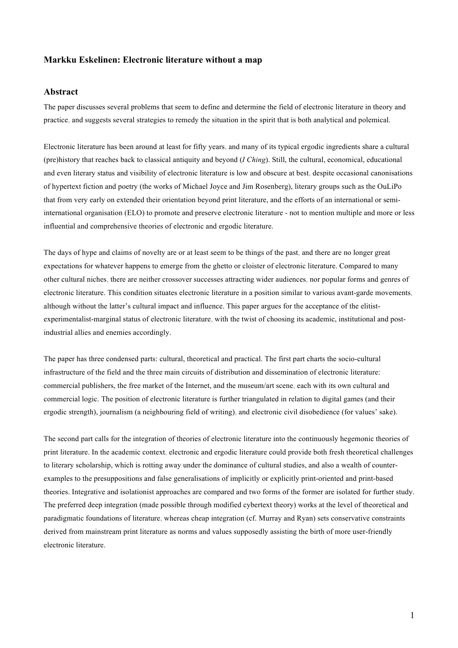### **Markku Eskelinen: Electronic literature without a map**

#### **Abstract**

The paper discusses several problems that seem to define and determine the field of electronic literature in theory and practice, and suggests several strategies to remedy the situation in the spirit that is both analytical and polemical.

Electronic literature has been around at least for fifty years, and many of its typical ergodic ingredients share a cultural (pre)history that reaches back to classical antiquity and beyond (*I Ching*). Still, the cultural, economical, educational and even literary status and visibility of electronic literature is low and obscure at best, despite occasional canonisations of hypertext fiction and poetry (the works of Michael Joyce and Jim Rosenberg), literary groups such as the OuLiPo that from very early on extended their orientation beyond print literature, and the efforts of an international or semiinternational organisation (ELO) to promote and preserve electronic literature - not to mention multiple and more or less influential and comprehensive theories of electronic and ergodic literature.

The days of hype and claims of novelty are or at least seem to be things of the past, and there are no longer great expectations for whatever happens to emerge from the ghetto or cloister of electronic literature. Compared to many other cultural niches, there are neither crossover successes attracting wider audiences, nor popular forms and genres of electronic literature. This condition situates electronic literature in a position similar to various avant-garde movements, although without the latter's cultural impact and influence. This paper argues for the acceptance of the elitistexperimentalist-marginal status of electronic literature, with the twist of choosing its academic, institutional and postindustrial allies and enemies accordingly.

The paper has three condensed parts: cultural, theoretical and practical. The first part charts the socio-cultural infrastructure of the field and the three main circuits of distribution and dissemination of electronic literature: commercial publishers, the free market of the Internet, and the museum/art scene, each with its own cultural and commercial logic. The position of electronic literature is further triangulated in relation to digital games (and their ergodic strength), journalism (a neighbouring field of writing), and electronic civil disobedience (for values' sake).

The second part calls for the integration of theories of electronic literature into the continuously hegemonic theories of print literature. In the academic context, electronic and ergodic literature could provide both fresh theoretical challenges to literary scholarship, which is rotting away under the dominance of cultural studies, and also a wealth of counterexamples to the presuppositions and false generalisations of implicitly or explicitly print-oriented and print-based theories. Integrative and isolationist approaches are compared and two forms of the former are isolated for further study. The preferred deep integration (made possible through modified cybertext theory) works at the level of theoretical and paradigmatic foundations of literature, whereas cheap integration (cf. Murray and Ryan) sets conservative constraints derived from mainstream print literature as norms and values supposedly assisting the birth of more user-friendly electronic literature.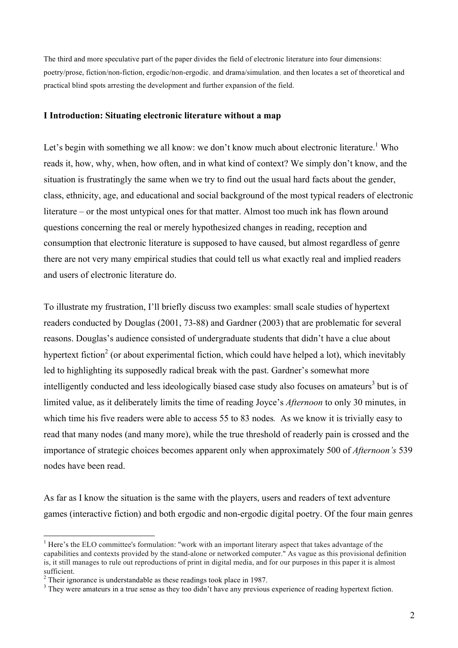The third and more speculative part of the paper divides the field of electronic literature into four dimensions: poetry/prose, fiction/non-fiction, ergodic/non-ergodic, and drama/simulation, and then locates a set of theoretical and practical blind spots arresting the development and further expansion of the field.

### **I Introduction: Situating electronic literature without a map**

Let's begin with something we all know: we don't know much about electronic literature.<sup>1</sup> Who reads it, how, why, when, how often, and in what kind of context? We simply don't know, and the situation is frustratingly the same when we try to find out the usual hard facts about the gender, class, ethnicity, age, and educational and social background of the most typical readers of electronic literature – or the most untypical ones for that matter. Almost too much ink has flown around questions concerning the real or merely hypothesized changes in reading, reception and consumption that electronic literature is supposed to have caused, but almost regardless of genre there are not very many empirical studies that could tell us what exactly real and implied readers and users of electronic literature do.

To illustrate my frustration, I'll briefly discuss two examples: small scale studies of hypertext readers conducted by Douglas (2001, 73-88) and Gardner (2003) that are problematic for several reasons. Douglas's audience consisted of undergraduate students that didn't have a clue about hypertext fiction<sup>2</sup> (or about experimental fiction, which could have helped a lot), which inevitably led to highlighting its supposedly radical break with the past. Gardner's somewhat more intelligently conducted and less ideologically biased case study also focuses on amateurs<sup>3</sup> but is of limited value, as it deliberately limits the time of reading Joyce's *Afternoon* to only 30 minutes, in which time his five readers were able to access 55 to 83 nodes*.* As we know it is trivially easy to read that many nodes (and many more), while the true threshold of readerly pain is crossed and the importance of strategic choices becomes apparent only when approximately 500 of *Afternoon's* 539 nodes have been read.

As far as I know the situation is the same with the players, users and readers of text adventure games (interactive fiction) and both ergodic and non-ergodic digital poetry. Of the four main genres

<sup>&</sup>lt;sup>1</sup> Here's the ELO committee's formulation: "work with an important literary aspect that takes advantage of the capabilities and contexts provided by the stand-alone or networked computer." As vague as this provisional definition is, it still manages to rule out reproductions of print in digital media, and for our purposes in this paper it is almost <sup>2</sup> Their ignorance is understandable as these readings took place in 1987.<br><sup>3</sup> Their ignorance is understandable as they too didn't have any previous experience of reading hypertext fiction.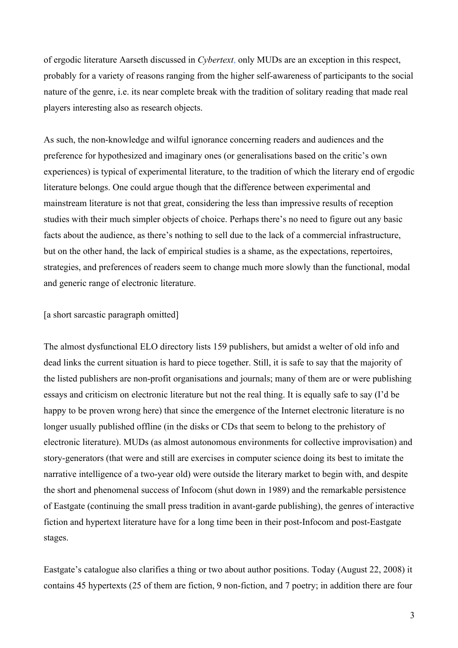of ergodic literature Aarseth discussed in *Cybertext*, only MUDs are an exception in this respect, probably for a variety of reasons ranging from the higher self-awareness of participants to the social nature of the genre, i.e. its near complete break with the tradition of solitary reading that made real players interesting also as research objects.

As such, the non-knowledge and wilful ignorance concerning readers and audiences and the preference for hypothesized and imaginary ones (or generalisations based on the critic's own experiences) is typical of experimental literature, to the tradition of which the literary end of ergodic literature belongs. One could argue though that the difference between experimental and mainstream literature is not that great, considering the less than impressive results of reception studies with their much simpler objects of choice. Perhaps there's no need to figure out any basic facts about the audience, as there's nothing to sell due to the lack of a commercial infrastructure, but on the other hand, the lack of empirical studies is a shame, as the expectations, repertoires, strategies, and preferences of readers seem to change much more slowly than the functional, modal and generic range of electronic literature.

### [a short sarcastic paragraph omitted]

The almost dysfunctional ELO directory lists 159 publishers, but amidst a welter of old info and dead links the current situation is hard to piece together. Still, it is safe to say that the majority of the listed publishers are non-profit organisations and journals; many of them are or were publishing essays and criticism on electronic literature but not the real thing. It is equally safe to say (I'd be happy to be proven wrong here) that since the emergence of the Internet electronic literature is no longer usually published offline (in the disks or CDs that seem to belong to the prehistory of electronic literature). MUDs (as almost autonomous environments for collective improvisation) and story-generators (that were and still are exercises in computer science doing its best to imitate the narrative intelligence of a two-year old) were outside the literary market to begin with, and despite the short and phenomenal success of Infocom (shut down in 1989) and the remarkable persistence of Eastgate (continuing the small press tradition in avant-garde publishing), the genres of interactive fiction and hypertext literature have for a long time been in their post-Infocom and post-Eastgate stages.

Eastgate's catalogue also clarifies a thing or two about author positions. Today (August 22, 2008) it contains 45 hypertexts (25 of them are fiction, 9 non-fiction, and 7 poetry; in addition there are four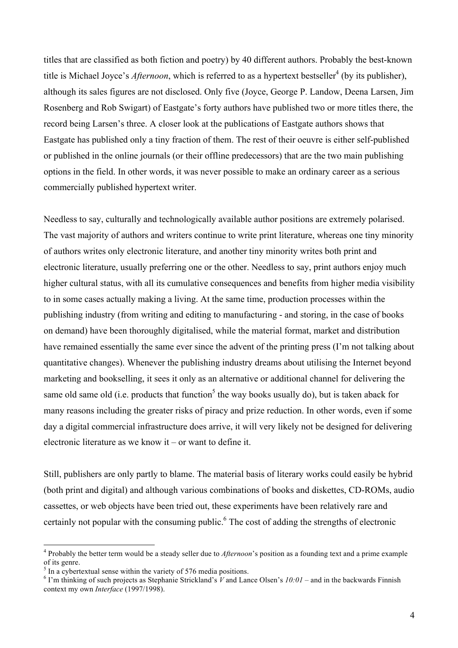titles that are classified as both fiction and poetry) by 40 different authors. Probably the best-known title is Michael Joyce's *Afternoon*, which is referred to as a hypertext bestseller<sup>4</sup> (by its publisher), although its sales figures are not disclosed. Only five (Joyce, George P. Landow, Deena Larsen, Jim Rosenberg and Rob Swigart) of Eastgate's forty authors have published two or more titles there, the record being Larsen's three. A closer look at the publications of Eastgate authors shows that Eastgate has published only a tiny fraction of them. The rest of their oeuvre is either self-published or published in the online journals (or their offline predecessors) that are the two main publishing options in the field. In other words, it was never possible to make an ordinary career as a serious commercially published hypertext writer.

Needless to say, culturally and technologically available author positions are extremely polarised. The vast majority of authors and writers continue to write print literature, whereas one tiny minority of authors writes only electronic literature, and another tiny minority writes both print and electronic literature, usually preferring one or the other. Needless to say, print authors enjoy much higher cultural status, with all its cumulative consequences and benefits from higher media visibility to in some cases actually making a living. At the same time, production processes within the publishing industry (from writing and editing to manufacturing - and storing, in the case of books on demand) have been thoroughly digitalised, while the material format, market and distribution have remained essentially the same ever since the advent of the printing press (I'm not talking about quantitative changes). Whenever the publishing industry dreams about utilising the Internet beyond marketing and bookselling, it sees it only as an alternative or additional channel for delivering the same old same old (i.e. products that function<sup>5</sup> the way books usually do), but is taken aback for many reasons including the greater risks of piracy and prize reduction. In other words, even if some day a digital commercial infrastructure does arrive, it will very likely not be designed for delivering electronic literature as we know it – or want to define it.

Still, publishers are only partly to blame. The material basis of literary works could easily be hybrid (both print and digital) and although various combinations of books and diskettes, CD-ROMs, audio cassettes, or web objects have been tried out, these experiments have been relatively rare and certainly not popular with the consuming public.<sup>6</sup> The cost of adding the strengths of electronic

 <sup>4</sup> Probably the better term would be <sup>a</sup> steady seller due to *Afternoon*'s position as <sup>a</sup> founding text and <sup>a</sup> prime example of its genre. <sup>5</sup> In <sup>a</sup> cybertextual sense within the variety of <sup>576</sup> media positions. <sup>6</sup> I'm thinking of such projects as Stephanie Strickland's *<sup>V</sup>* and Lance Olsen's *10:01* – and in the backwards Finnish

context my own *Interface* (1997/1998).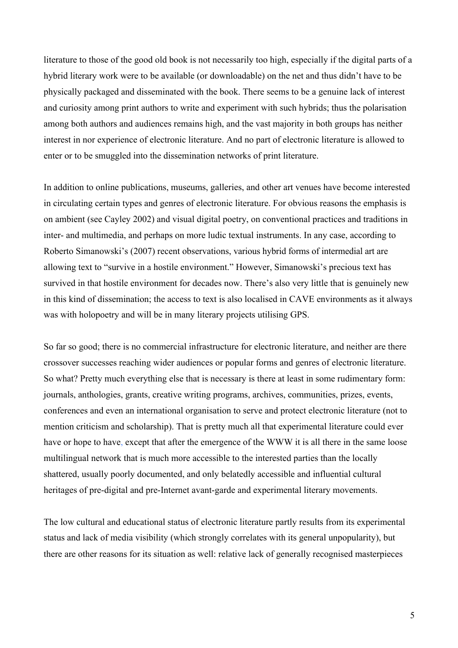literature to those of the good old book is not necessarily too high, especially if the digital parts of a hybrid literary work were to be available (or downloadable) on the net and thus didn't have to be physically packaged and disseminated with the book. There seems to be a genuine lack of interest and curiosity among print authors to write and experiment with such hybrids; thus the polarisation among both authors and audiences remains high, and the vast majority in both groups has neither interest in nor experience of electronic literature. And no part of electronic literature is allowed to enter or to be smuggled into the dissemination networks of print literature.

In addition to online publications, museums, galleries, and other art venues have become interested in circulating certain types and genres of electronic literature. For obvious reasons the emphasis is on ambient (see Cayley 2002) and visual digital poetry, on conventional practices and traditions in inter- and multimedia, and perhaps on more ludic textual instruments. In any case, according to Roberto Simanowski's (2007) recent observations, various hybrid forms of intermedial art are allowing text to "survive in a hostile environment." However, Simanowski's precious text has survived in that hostile environment for decades now. There's also very little that is genuinely new in this kind of dissemination; the access to text is also localised in CAVE environments as it always was with holopoetry and will be in many literary projects utilising GPS.

So far so good; there is no commercial infrastructure for electronic literature, and neither are there crossover successes reaching wider audiences or popular forms and genres of electronic literature. So what? Pretty much everything else that is necessary is there at least in some rudimentary form: journals, anthologies, grants, creative writing programs, archives, communities, prizes, events, conferences and even an international organisation to serve and protect electronic literature (not to mention criticism and scholarship). That is pretty much all that experimental literature could ever have or hope to have, except that after the emergence of the WWW it is all there in the same loose multilingual network that is much more accessible to the interested parties than the locally shattered, usually poorly documented, and only belatedly accessible and influential cultural heritages of pre-digital and pre-Internet avant-garde and experimental literary movements.

The low cultural and educational status of electronic literature partly results from its experimental status and lack of media visibility (which strongly correlates with its general unpopularity), but there are other reasons for its situation as well: relative lack of generally recognised masterpieces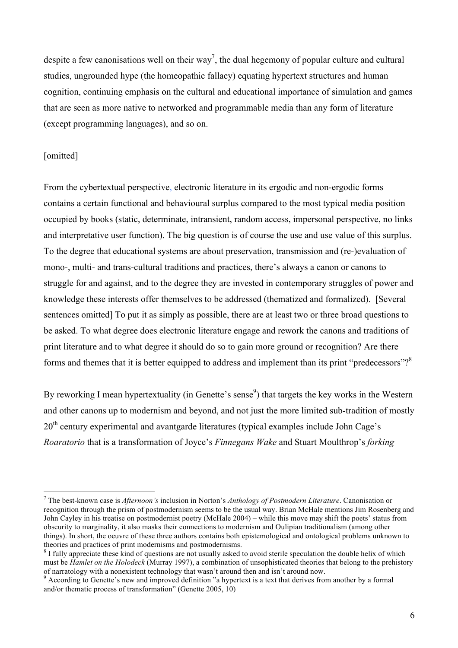despite a few canonisations well on their way<sup>7</sup>, the dual hegemony of popular culture and cultural studies, ungrounded hype (the homeopathic fallacy) equating hypertext structures and human cognition, continuing emphasis on the cultural and educational importance of simulation and games that are seen as more native to networked and programmable media than any form of literature (except programming languages), and so on.

## [omitted]

From the cybertextual perspective, electronic literature in its ergodic and non-ergodic forms contains a certain functional and behavioural surplus compared to the most typical media position occupied by books (static, determinate, intransient, random access, impersonal perspective, no links and interpretative user function). The big question is of course the use and use value of this surplus. To the degree that educational systems are about preservation, transmission and (re-)evaluation of mono-, multi- and trans-cultural traditions and practices, there's always a canon or canons to struggle for and against, and to the degree they are invested in contemporary struggles of power and knowledge these interests offer themselves to be addressed (thematized and formalized). [Several sentences omitted] To put it as simply as possible, there are at least two or three broad questions to be asked. To what degree does electronic literature engage and rework the canons and traditions of print literature and to what degree it should do so to gain more ground or recognition? Are there forms and themes that it is better equipped to address and implement than its print "predecessors"? $8^{\circ}$ 

By reworking I mean hypertextuality (in Genette's sense<sup>9</sup>) that targets the key works in the Western and other canons up to modernism and beyond, and not just the more limited sub-tradition of mostly 20<sup>th</sup> century experimental and avantgarde literatures (typical examples include John Cage's *Roaratorio* that is a transformation of Joyce's *Finnegans Wake* and Stuart Moulthrop's *forking* 

 <sup>7</sup> The best-known case is *Afternoon's* inclusion in Norton's *Anthology of Postmodern Literature*. Canonisation or recognition through the prism of postmodernism seems to be the usual way. Brian McHale mentions Jim Rosenberg and John Cayley in his treatise on postmodernist poetry (McHale 2004) – while this move may shift the poets' status from obscurity to marginality, it also masks their connections to modernism and Oulipian traditionalism (among other things). In short, the oeuvre of these three authors contains both epistemological and ontological problems unknown to theories and practices of print modernisms and postmodernisms.<br><sup>8</sup> I fully appreciate these kind of questions are not usually asked to avoid sterile speculation the double helix of which

must be *Hamlet on the Holodeck* (Murray 1997), a combination of unsophisticated theories that belong to the prehistory of narratology with <sup>a</sup> nonexistent technology that wasn't around then and isn't around now. <sup>9</sup> According to Genette's new and improved definition "a hypertext is <sup>a</sup> text that derives from another by <sup>a</sup> formal

and/or thematic process of transformation" (Genette 2005, 10)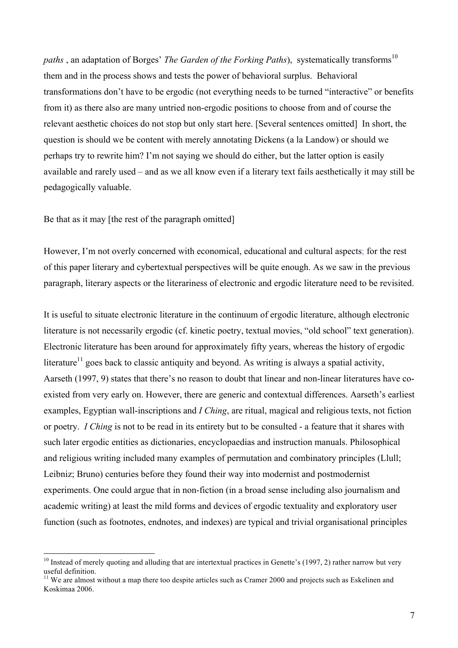*paths*, an adaptation of Borges' *The Garden of the Forking Paths*), systematically transforms<sup>10</sup> them and in the process shows and tests the power of behavioral surplus. Behavioral transformations don't have to be ergodic (not everything needs to be turned "interactive" or benefits from it) as there also are many untried non-ergodic positions to choose from and of course the relevant aesthetic choices do not stop but only start here. [Several sentences omitted] In short, the question is should we be content with merely annotating Dickens (a la Landow) or should we perhaps try to rewrite him? I'm not saying we should do either, but the latter option is easily available and rarely used – and as we all know even if a literary text fails aesthetically it may still be pedagogically valuable.

Be that as it may [the rest of the paragraph omitted]

However, I'm not overly concerned with economical, educational and cultural aspects; for the rest of this paper literary and cybertextual perspectives will be quite enough. As we saw in the previous paragraph, literary aspects or the literariness of electronic and ergodic literature need to be revisited.

It is useful to situate electronic literature in the continuum of ergodic literature, although electronic literature is not necessarily ergodic (cf. kinetic poetry, textual movies, "old school" text generation). Electronic literature has been around for approximately fifty years, whereas the history of ergodic literature<sup>11</sup> goes back to classic antiquity and beyond. As writing is always a spatial activity, Aarseth (1997, 9) states that there's no reason to doubt that linear and non-linear literatures have coexisted from very early on. However, there are generic and contextual differences. Aarseth's earliest examples, Egyptian wall-inscriptions and *I Ching*, are ritual, magical and religious texts, not fiction or poetry. *I Ching* is not to be read in its entirety but to be consulted - a feature that it shares with such later ergodic entities as dictionaries, encyclopaedias and instruction manuals. Philosophical and religious writing included many examples of permutation and combinatory principles (Llull; Leibniz; Bruno) centuries before they found their way into modernist and postmodernist experiments. One could argue that in non-fiction (in a broad sense including also journalism and academic writing) at least the mild forms and devices of ergodic textuality and exploratory user function (such as footnotes, endnotes, and indexes) are typical and trivial organisational principles

 $10$  Instead of merely quoting and alluding that are intertextual practices in Genette's (1997, 2) rather narrow but very useful definition. <sup>11</sup> We are almost without <sup>a</sup> map there too despite articles such as Cramer <sup>2000</sup> and projects such as Eskelinen and

Koskimaa 2006.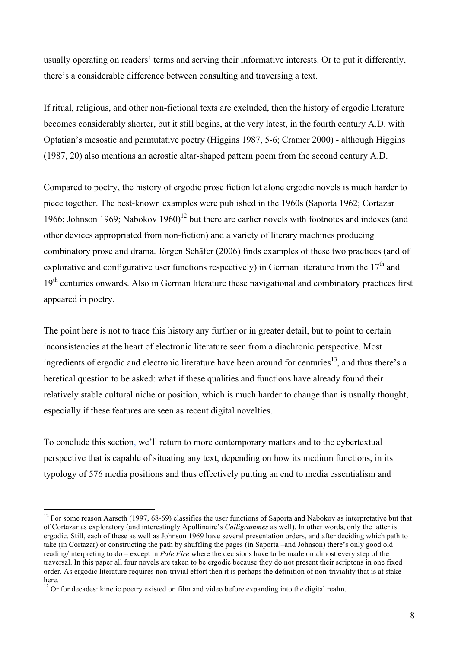usually operating on readers' terms and serving their informative interests. Or to put it differently, there's a considerable difference between consulting and traversing a text.

If ritual, religious, and other non-fictional texts are excluded, then the history of ergodic literature becomes considerably shorter, but it still begins, at the very latest, in the fourth century A.D. with Optatian's mesostic and permutative poetry (Higgins 1987, 5-6; Cramer 2000) - although Higgins (1987, 20) also mentions an acrostic altar-shaped pattern poem from the second century A.D.

Compared to poetry, the history of ergodic prose fiction let alone ergodic novels is much harder to piece together. The best-known examples were published in the 1960s (Saporta 1962; Cortazar 1966; Johnson 1969; Nabokov 1960)<sup>12</sup> but there are earlier novels with footnotes and indexes (and other devices appropriated from non-fiction) and a variety of literary machines producing combinatory prose and drama. Jörgen Schäfer (2006) finds examples of these two practices (and of explorative and configurative user functions respectively) in German literature from the  $17<sup>th</sup>$  and 19<sup>th</sup> centuries onwards. Also in German literature these navigational and combinatory practices first appeared in poetry.

The point here is not to trace this history any further or in greater detail, but to point to certain inconsistencies at the heart of electronic literature seen from a diachronic perspective. Most ingredients of ergodic and electronic literature have been around for centuries<sup>13</sup>, and thus there's a heretical question to be asked: what if these qualities and functions have already found their relatively stable cultural niche or position, which is much harder to change than is usually thought, especially if these features are seen as recent digital novelties.

To conclude this section, we'll return to more contemporary matters and to the cybertextual perspective that is capable of situating any text, depending on how its medium functions, in its typology of 576 media positions and thus effectively putting an end to media essentialism and

 $12$  For some reason Aarseth (1997, 68-69) classifies the user functions of Saporta and Nabokov as interpretative but that of Cortazar as exploratory (and interestingly Apollinaire's *Calligrammes* as well). In other words, only the latter is ergodic. Still, each of these as well as Johnson 1969 have several presentation orders, and after deciding which path to take (in Cortazar) or constructing the path by shuffling the pages (in Saporta –and Johnson) there's only good old reading/interpreting to do – except in *Pale Fire* where the decisions have to be made on almost every step of the traversal. In this paper all four novels are taken to be ergodic because they do not present their scriptons in one fixed order. As ergodic literature requires non-trivial effort then it is perhaps the definition of non-triviality that is at stake here.<br><sup>13</sup> Or for decades: kinetic poetry existed on film and video before expanding into the digital realm.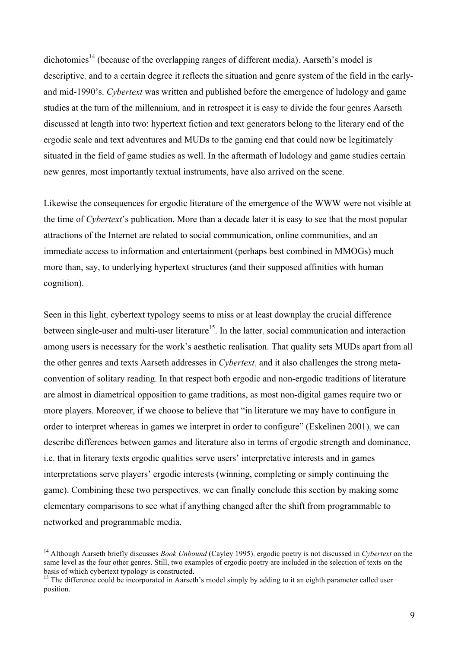dichotomies<sup>14</sup> (because of the overlapping ranges of different media). Aarseth's model is descriptive, and to a certain degree it reflects the situation and genre system of the field in the earlyand mid-1990's. *Cybertext* was written and published before the emergence of ludology and game studies at the turn of the millennium, and in retrospect it is easy to divide the four genres Aarseth discussed at length into two: hypertext fiction and text generators belong to the literary end of the ergodic scale and text adventures and MUDs to the gaming end that could now be legitimately situated in the field of game studies as well. In the aftermath of ludology and game studies certain new genres, most importantly textual instruments, have also arrived on the scene.

Likewise the consequences for ergodic literature of the emergence of the WWW were not visible at the time of *Cybertext*'s publication. More than a decade later it is easy to see that the most popular attractions of the Internet are related to social communication, online communities, and an immediate access to information and entertainment (perhaps best combined in MMOGs) much more than, say, to underlying hypertext structures (and their supposed affinities with human cognition).

Seen in this light, cybertext typology seems to miss or at least downplay the crucial difference between single-user and multi-user literature<sup>15</sup>. In the latter, social communication and interaction among users is necessary for the work's aesthetic realisation. That quality sets MUDs apart from all the other genres and texts Aarseth addresses in *Cybertext*, and it also challenges the strong metaconvention of solitary reading. In that respect both ergodic and non-ergodic traditions of literature are almost in diametrical opposition to game traditions, as most non-digital games require two or more players. Moreover, if we choose to believe that "in literature we may have to configure in order to interpret whereas in games we interpret in order to configure" (Eskelinen 2001), we can describe differences between games and literature also in terms of ergodic strength and dominance, i.e. that in literary texts ergodic qualities serve users' interpretative interests and in games interpretations serve players' ergodic interests (winning, completing or simply continuing the game). Combining these two perspectives, we can finally conclude this section by making some elementary comparisons to see what if anything changed after the shift from programmable to networked and programmable media.

 <sup>14</sup> Although Aarseth briefly discusses *Book Unbound* (Cayley 1995), ergodic poetry is not discussed in *Cybertext* on the same level as the four other genres. Still, two examples of ergodic poetry are included in the selection of texts on the basis of which cybertext typology is constructed.<br><sup>15</sup> The difference could be incorporated in Aarseth's model simply by adding to it an eighth parameter called user

position.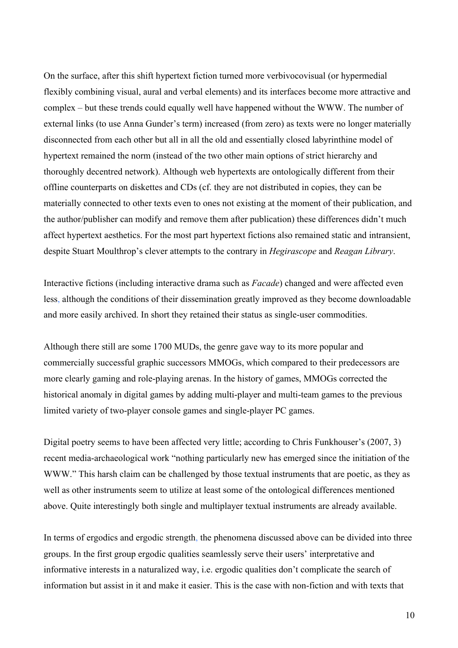On the surface, after this shift hypertext fiction turned more verbivocovisual (or hypermedial flexibly combining visual, aural and verbal elements) and its interfaces become more attractive and complex – but these trends could equally well have happened without the WWW. The number of external links (to use Anna Gunder's term) increased (from zero) as texts were no longer materially disconnected from each other but all in all the old and essentially closed labyrinthine model of hypertext remained the norm (instead of the two other main options of strict hierarchy and thoroughly decentred network). Although web hypertexts are ontologically different from their offline counterparts on diskettes and CDs (cf. they are not distributed in copies, they can be materially connected to other texts even to ones not existing at the moment of their publication, and the author/publisher can modify and remove them after publication) these differences didn't much affect hypertext aesthetics. For the most part hypertext fictions also remained static and intransient, despite Stuart Moulthrop's clever attempts to the contrary in *Hegirascope* and *Reagan Library*.

Interactive fictions (including interactive drama such as *Facade*) changed and were affected even less, although the conditions of their dissemination greatly improved as they become downloadable and more easily archived. In short they retained their status as single-user commodities.

Although there still are some 1700 MUDs, the genre gave way to its more popular and commercially successful graphic successors MMOGs, which compared to their predecessors are more clearly gaming and role-playing arenas. In the history of games, MMOGs corrected the historical anomaly in digital games by adding multi-player and multi-team games to the previous limited variety of two-player console games and single-player PC games.

Digital poetry seems to have been affected very little; according to Chris Funkhouser's (2007, 3) recent media-archaeological work "nothing particularly new has emerged since the initiation of the WWW." This harsh claim can be challenged by those textual instruments that are poetic, as they as well as other instruments seem to utilize at least some of the ontological differences mentioned above. Quite interestingly both single and multiplayer textual instruments are already available.

In terms of ergodics and ergodic strength, the phenomena discussed above can be divided into three groups. In the first group ergodic qualities seamlessly serve their users' interpretative and informative interests in a naturalized way, i.e. ergodic qualities don't complicate the search of information but assist in it and make it easier. This is the case with non-fiction and with texts that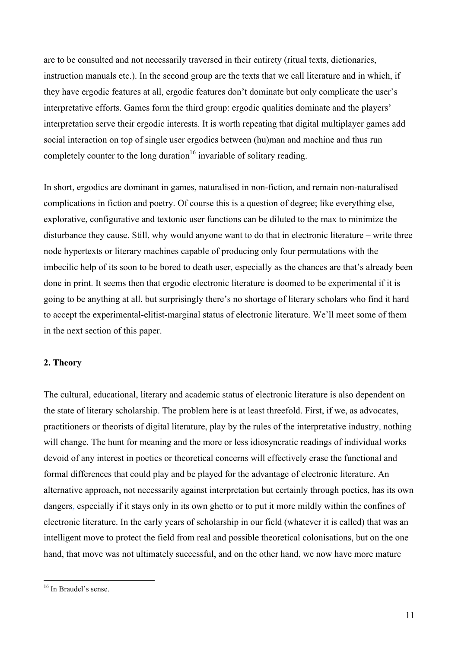are to be consulted and not necessarily traversed in their entirety (ritual texts, dictionaries, instruction manuals etc.). In the second group are the texts that we call literature and in which, if they have ergodic features at all, ergodic features don't dominate but only complicate the user's interpretative efforts. Games form the third group: ergodic qualities dominate and the players' interpretation serve their ergodic interests. It is worth repeating that digital multiplayer games add social interaction on top of single user ergodics between (hu)man and machine and thus run completely counter to the long duration<sup>16</sup> invariable of solitary reading.

In short, ergodics are dominant in games, naturalised in non-fiction, and remain non-naturalised complications in fiction and poetry. Of course this is a question of degree; like everything else, explorative, configurative and textonic user functions can be diluted to the max to minimize the disturbance they cause. Still, why would anyone want to do that in electronic literature – write three node hypertexts or literary machines capable of producing only four permutations with the imbecilic help of its soon to be bored to death user, especially as the chances are that's already been done in print. It seems then that ergodic electronic literature is doomed to be experimental if it is going to be anything at all, but surprisingly there's no shortage of literary scholars who find it hard to accept the experimental-elitist-marginal status of electronic literature. We'll meet some of them in the next section of this paper.

## **2. Theory**

The cultural, educational, literary and academic status of electronic literature is also dependent on the state of literary scholarship. The problem here is at least threefold. First, if we, as advocates, practitioners or theorists of digital literature, play by the rules of the interpretative industry, nothing will change. The hunt for meaning and the more or less idiosyncratic readings of individual works devoid of any interest in poetics or theoretical concerns will effectively erase the functional and formal differences that could play and be played for the advantage of electronic literature. An alternative approach, not necessarily against interpretation but certainly through poetics, has its own dangers, especially if it stays only in its own ghetto or to put it more mildly within the confines of electronic literature. In the early years of scholarship in our field (whatever it is called) that was an intelligent move to protect the field from real and possible theoretical colonisations, but on the one hand, that move was not ultimately successful, and on the other hand, we now have more mature

 <sup>16</sup> In Braudel's sense.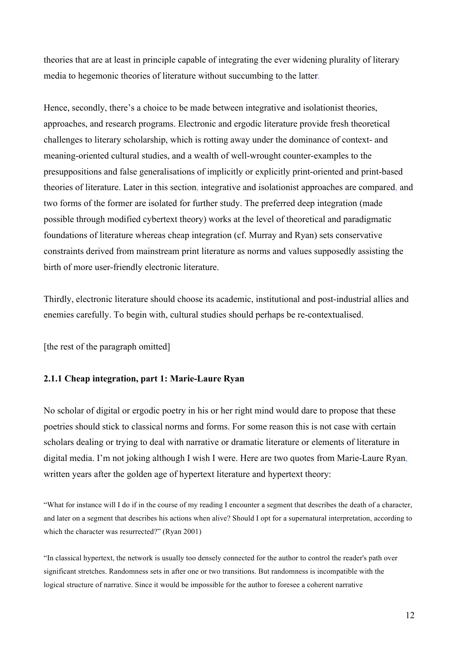theories that are at least in principle capable of integrating the ever widening plurality of literary media to hegemonic theories of literature without succumbing to the latter.

Hence, secondly, there's a choice to be made between integrative and isolationist theories, approaches, and research programs. Electronic and ergodic literature provide fresh theoretical challenges to literary scholarship, which is rotting away under the dominance of context- and meaning-oriented cultural studies, and a wealth of well-wrought counter-examples to the presuppositions and false generalisations of implicitly or explicitly print-oriented and print-based theories of literature. Later in this section, integrative and isolationist approaches are compared, and two forms of the former are isolated for further study. The preferred deep integration (made possible through modified cybertext theory) works at the level of theoretical and paradigmatic foundations of literature whereas cheap integration (cf. Murray and Ryan) sets conservative constraints derived from mainstream print literature as norms and values supposedly assisting the birth of more user-friendly electronic literature.

Thirdly, electronic literature should choose its academic, institutional and post-industrial allies and enemies carefully. To begin with, cultural studies should perhaps be re-contextualised.

[the rest of the paragraph omitted]

## **2.1.1 Cheap integration, part 1: Marie-Laure Ryan**

No scholar of digital or ergodic poetry in his or her right mind would dare to propose that these poetries should stick to classical norms and forms. For some reason this is not case with certain scholars dealing or trying to deal with narrative or dramatic literature or elements of literature in digital media. I'm not joking although I wish I were. Here are two quotes from Marie-Laure Ryan, written years after the golden age of hypertext literature and hypertext theory:

"What for instance will I do if in the course of my reading I encounter a segment that describes the death of a character, and later on a segment that describes his actions when alive? Should I opt for a supernatural interpretation, according to which the character was resurrected?" (Ryan 2001)

"In classical hypertext, the network is usually too densely connected for the author to control the reader's path over significant stretches. Randomness sets in after one or two transitions. But randomness is incompatible with the logical structure of narrative. Since it would be impossible for the author to foresee a coherent narrative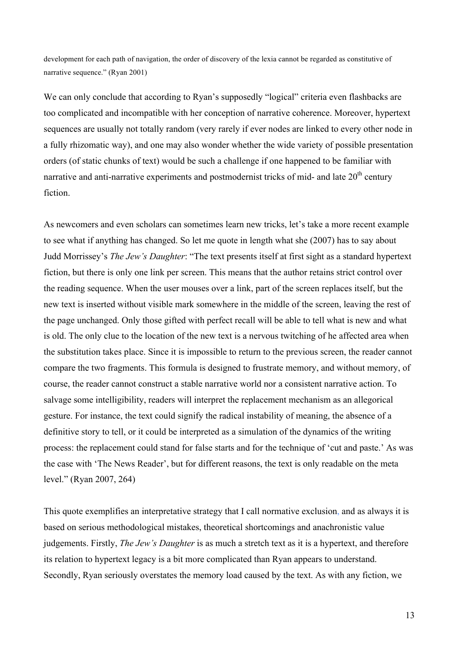development for each path of navigation, the order of discovery of the lexia cannot be regarded as constitutive of narrative sequence." (Ryan 2001)

We can only conclude that according to Ryan's supposedly "logical" criteria even flashbacks are too complicated and incompatible with her conception of narrative coherence. Moreover, hypertext sequences are usually not totally random (very rarely if ever nodes are linked to every other node in a fully rhizomatic way), and one may also wonder whether the wide variety of possible presentation orders (of static chunks of text) would be such a challenge if one happened to be familiar with narrative and anti-narrative experiments and postmodernist tricks of mid- and late  $20<sup>th</sup>$  century fiction.

As newcomers and even scholars can sometimes learn new tricks, let's take a more recent example to see what if anything has changed. So let me quote in length what she (2007) has to say about Judd Morrissey's *The Jew's Daughter*: "The text presents itself at first sight as a standard hypertext fiction, but there is only one link per screen. This means that the author retains strict control over the reading sequence. When the user mouses over a link, part of the screen replaces itself, but the new text is inserted without visible mark somewhere in the middle of the screen, leaving the rest of the page unchanged. Only those gifted with perfect recall will be able to tell what is new and what is old. The only clue to the location of the new text is a nervous twitching of he affected area when the substitution takes place. Since it is impossible to return to the previous screen, the reader cannot compare the two fragments. This formula is designed to frustrate memory, and without memory, of course, the reader cannot construct a stable narrative world nor a consistent narrative action. To salvage some intelligibility, readers will interpret the replacement mechanism as an allegorical gesture. For instance, the text could signify the radical instability of meaning, the absence of a definitive story to tell, or it could be interpreted as a simulation of the dynamics of the writing process: the replacement could stand for false starts and for the technique of 'cut and paste.' As was the case with 'The News Reader', but for different reasons, the text is only readable on the meta level." (Ryan 2007, 264)

This quote exemplifies an interpretative strategy that I call normative exclusion, and as always it is based on serious methodological mistakes, theoretical shortcomings and anachronistic value judgements. Firstly, *The Jew's Daughter* is as much a stretch text as it is a hypertext, and therefore its relation to hypertext legacy is a bit more complicated than Ryan appears to understand. Secondly, Ryan seriously overstates the memory load caused by the text. As with any fiction, we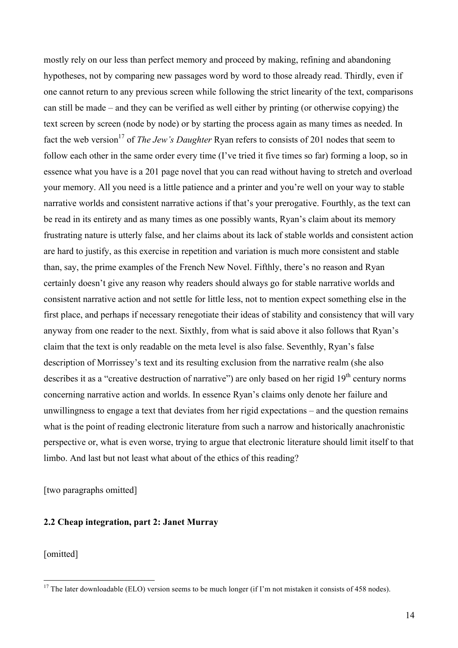mostly rely on our less than perfect memory and proceed by making, refining and abandoning hypotheses, not by comparing new passages word by word to those already read. Thirdly, even if one cannot return to any previous screen while following the strict linearity of the text, comparisons can still be made – and they can be verified as well either by printing (or otherwise copying) the text screen by screen (node by node) or by starting the process again as many times as needed. In fact the web version<sup>17</sup> of *The Jew's Daughter* Ryan refers to consists of 201 nodes that seem to follow each other in the same order every time (I've tried it five times so far) forming a loop, so in essence what you have is a 201 page novel that you can read without having to stretch and overload your memory. All you need is a little patience and a printer and you're well on your way to stable narrative worlds and consistent narrative actions if that's your prerogative. Fourthly, as the text can be read in its entirety and as many times as one possibly wants, Ryan's claim about its memory frustrating nature is utterly false, and her claims about its lack of stable worlds and consistent action are hard to justify, as this exercise in repetition and variation is much more consistent and stable than, say, the prime examples of the French New Novel. Fifthly, there's no reason and Ryan certainly doesn't give any reason why readers should always go for stable narrative worlds and consistent narrative action and not settle for little less, not to mention expect something else in the first place, and perhaps if necessary renegotiate their ideas of stability and consistency that will vary anyway from one reader to the next. Sixthly, from what is said above it also follows that Ryan's claim that the text is only readable on the meta level is also false. Seventhly, Ryan's false description of Morrissey's text and its resulting exclusion from the narrative realm (she also describes it as a "creative destruction of narrative") are only based on her rigid  $19<sup>th</sup>$  century norms concerning narrative action and worlds. In essence Ryan's claims only denote her failure and unwillingness to engage a text that deviates from her rigid expectations – and the question remains what is the point of reading electronic literature from such a narrow and historically anachronistic perspective or, what is even worse, trying to argue that electronic literature should limit itself to that limbo. And last but not least what about of the ethics of this reading?

[two paragraphs omitted]

### **2.2 Cheap integration, part 2: Janet Murray**

[omitted]

 $\frac{17}{17}$  The later downloadable (ELO) version seems to be much longer (if I'm not mistaken it consists of 458 nodes).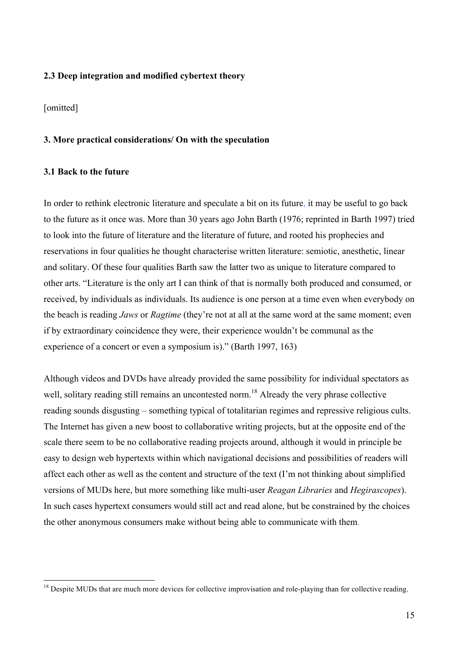## **2.3 Deep integration and modified cybertext theory**

[omitted]

### **3. More practical considerations/ On with the speculation**

### **3.1 Back to the future**

In order to rethink electronic literature and speculate a bit on its future, it may be useful to go back to the future as it once was. More than 30 years ago John Barth (1976; reprinted in Barth 1997) tried to look into the future of literature and the literature of future, and rooted his prophecies and reservations in four qualities he thought characterise written literature: semiotic, anesthetic, linear and solitary. Of these four qualities Barth saw the latter two as unique to literature compared to other arts. "Literature is the only art I can think of that is normally both produced and consumed, or received, by individuals as individuals. Its audience is one person at a time even when everybody on the beach is reading *Jaws* or *Ragtime* (they're not at all at the same word at the same moment; even if by extraordinary coincidence they were, their experience wouldn't be communal as the experience of a concert or even a symposium is)." (Barth 1997, 163)

Although videos and DVDs have already provided the same possibility for individual spectators as well, solitary reading still remains an uncontested norm.<sup>18</sup> Already the very phrase collective reading sounds disgusting – something typical of totalitarian regimes and repressive religious cults. The Internet has given a new boost to collaborative writing projects, but at the opposite end of the scale there seem to be no collaborative reading projects around, although it would in principle be easy to design web hypertexts within which navigational decisions and possibilities of readers will affect each other as well as the content and structure of the text (I'm not thinking about simplified versions of MUDs here, but more something like multi-user *Reagan Libraries* and *Hegirascopes*). In such cases hypertext consumers would still act and read alone, but be constrained by the choices the other anonymous consumers make without being able to communicate with them.

 $18$  Despite MUDs that are much more devices for collective improvisation and role-playing than for collective reading.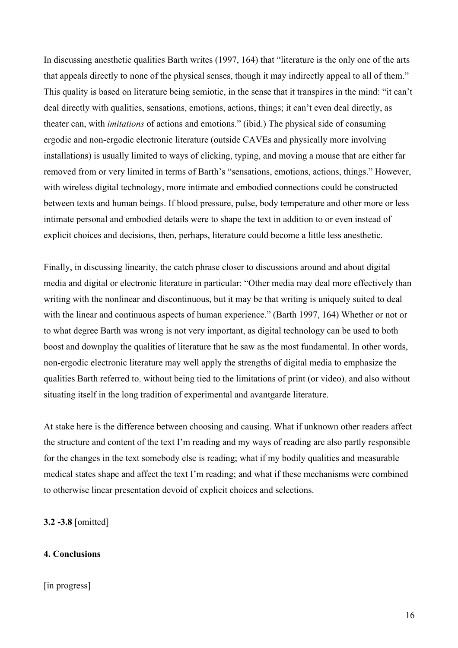In discussing anesthetic qualities Barth writes (1997, 164) that "literature is the only one of the arts that appeals directly to none of the physical senses, though it may indirectly appeal to all of them." This quality is based on literature being semiotic, in the sense that it transpires in the mind: "it can't deal directly with qualities, sensations, emotions, actions, things; it can't even deal directly, as theater can, with *imitations* of actions and emotions." (ibid.) The physical side of consuming ergodic and non-ergodic electronic literature (outside CAVEs and physically more involving installations) is usually limited to ways of clicking, typing, and moving a mouse that are either far removed from or very limited in terms of Barth's "sensations, emotions, actions, things." However, with wireless digital technology, more intimate and embodied connections could be constructed between texts and human beings. If blood pressure, pulse, body temperature and other more or less intimate personal and embodied details were to shape the text in addition to or even instead of explicit choices and decisions, then, perhaps, literature could become a little less anesthetic.

Finally, in discussing linearity, the catch phrase closer to discussions around and about digital media and digital or electronic literature in particular: "Other media may deal more effectively than writing with the nonlinear and discontinuous, but it may be that writing is uniquely suited to deal with the linear and continuous aspects of human experience." (Barth 1997, 164) Whether or not or to what degree Barth was wrong is not very important, as digital technology can be used to both boost and downplay the qualities of literature that he saw as the most fundamental. In other words, non-ergodic electronic literature may well apply the strengths of digital media to emphasize the qualities Barth referred to, without being tied to the limitations of print (or video), and also without situating itself in the long tradition of experimental and avantgarde literature.

At stake here is the difference between choosing and causing. What if unknown other readers affect the structure and content of the text I'm reading and my ways of reading are also partly responsible for the changes in the text somebody else is reading; what if my bodily qualities and measurable medical states shape and affect the text I'm reading; and what if these mechanisms were combined to otherwise linear presentation devoid of explicit choices and selections.

**3.2 -3.8** [omitted]

## **4. Conclusions**

## [in progress]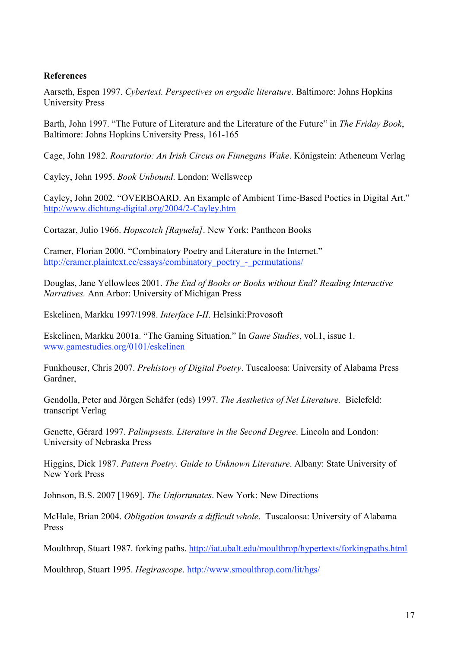# **References**

Aarseth, Espen 1997. *Cybertext. Perspectives on ergodic literature*. Baltimore: Johns Hopkins University Press

Barth, John 1997. "The Future of Literature and the Literature of the Future" in *The Friday Book*, Baltimore: Johns Hopkins University Press, 161-165

Cage, John 1982. *Roaratorio: An Irish Circus on Finnegans Wake*. Königstein: Atheneum Verlag

Cayley, John 1995. *Book Unbound*. London: Wellsweep

Cayley, John 2002. "OVERBOARD. An Example of Ambient Time-Based Poetics in Digital Art." http://www.dichtung-digital.org/2004/2-Cayley.htm

Cortazar, Julio 1966. *Hopscotch [Rayuela]*. New York: Pantheon Books

Cramer, Florian 2000. "Combinatory Poetry and Literature in the Internet." http://cramer.plaintext.cc/essays/combinatory\_poetry\_-\_permutations/

Douglas, Jane Yellowlees 2001. *The End of Books or Books without End? Reading Interactive Narratives.* Ann Arbor: University of Michigan Press

Eskelinen, Markku 1997/1998. *Interface I-II*. Helsinki:Provosoft

Eskelinen, Markku 2001a. "The Gaming Situation." In *Game Studies*, vol.1, issue 1. www.gamestudies.org/0101/eskelinen

Funkhouser, Chris 2007. *Prehistory of Digital Poetry*. Tuscaloosa: University of Alabama Press Gardner,

Gendolla, Peter and Jörgen Schäfer (eds) 1997. *The Aesthetics of Net Literature.* Bielefeld: transcript Verlag

Genette, Gérard 1997. *Palimpsests. Literature in the Second Degree*. Lincoln and London: University of Nebraska Press

Higgins, Dick 1987. *Pattern Poetry. Guide to Unknown Literature*. Albany: State University of New York Press

Johnson, B.S. 2007 [1969]. *The Unfortunates*. New York: New Directions

McHale, Brian 2004. *Obligation towards a difficult whole*. Tuscaloosa: University of Alabama Press

Moulthrop, Stuart 1987. forking paths. http://iat.ubalt.edu/moulthrop/hypertexts/forkingpaths.html

Moulthrop, Stuart 1995. *Hegirascope*. http://www.smoulthrop.com/lit/hgs/